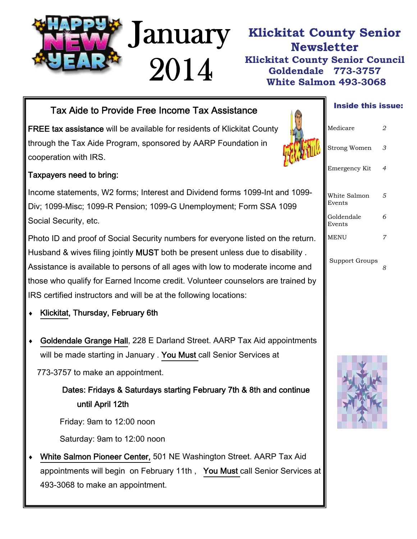

### **Klickitat County Senior Newsletter Klickitat County Senior Council Goldendale 773-3757 White Salmon 493-3068**

# Tax Aide to Provide Free Income Tax Assistance **Tax Assistance Tax Aide this issue:**

FREE tax assistance will be available for residents of Klickitat County through the Tax Aide Program, sponsored by AARP Foundation in cooperation with IRS.

#### Taxpayers need to bring:

Income statements, W2 forms; Interest and Dividend forms 1099-Int and 1099- Div; 1099-Misc; 1099-R Pension; 1099-G Unemployment; Form SSA 1099 Social Security, etc.

Photo ID and proof of Social Security numbers for everyone listed on the return. Husband & wives filing jointly MUST both be present unless due to disability . Assistance is available to persons of all ages with low to moderate income and those who qualify for Earned Income credit. Volunteer counselors are trained by IRS certified instructors and will be at the following locations:

- ♦ Klickitat, Thursday, February 6th
- ♦ Goldendale Grange Hall, 228 E Darland Street. AARP Tax Aid appointments will be made starting in January . You Must call Senior Services at

773-3757 to make an appointment.

#### Dates: Fridays & Saturdays starting February 7th & 8th and continue until April 12th

Friday: 9am to 12:00 noon

Saturday: 9am to 12:00 noon

White Salmon Pioneer Center, 501 NE Washington Street. AARP Tax Aid appointments will begin on February 11th , You Must call Senior Services at 493-3068 to make an appointment.



| Medicare               | 2 |
|------------------------|---|
| <b>Strong Women</b>    | 3 |
| Emergency Kit          | 4 |
| White Salmon<br>Events | 5 |
| Goldendale<br>Events   | 6 |
| MENU                   | 7 |
| Support Groups         | 8 |

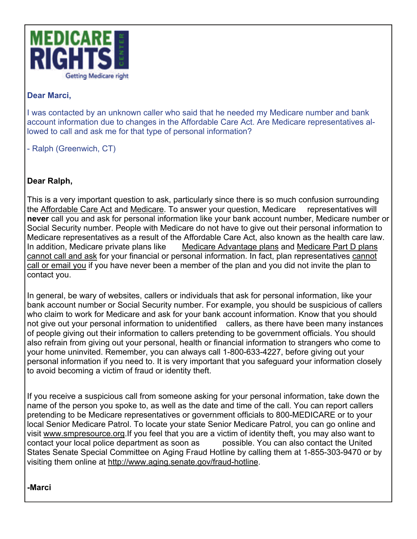

#### **Dear Marci,**

I was contacted by an unknown caller who said that he needed my Medicare number and bank account information due to changes in the Affordable Care Act. Are Medicare representatives allowed to call and ask me for that type of personal information?

- Ralph (Greenwich, CT)

#### **Dear Ralph,**

This is a very important question to ask, particularly since there is so much confusion surrounding the [Affordable Care Act](http://e.medicarerights-email.org/l.jsp?d=9290.766916.1282.8b9iBgjO27fAN3GP1QhkODQ..A) and [Medicare](http://e.medicarerights-email.org/l.jsp?d=9290.766915.1282.8b9iBgjO27fAN3GP1QhkODQ..A). To answer your question, Medicare representatives will **never** call you and ask for personal information like your bank account number, Medicare number or Social Security number. People with Medicare do not have to give out their personal information to Medicare representatives as a result of the Affordable Care Act, also known as the health care law. In addition, Medicare private plans like [Medicare Advantage plans](http://e.medicarerights-email.org/l.jsp?d=9290.766914.1282.8b9iBgjO27fAN3GP1QhkODQ..A) and [Medicare Part D plans](http://e.medicarerights-email.org/l.jsp?d=9290.766913.1282.8b9iBgjO27fAN3GP1QhkODQ..A) [cannot call and ask](http://e.medicarerights-email.org/l.jsp?d=9290.766911.1282.8b9iBgjO27fAN3GP1QhkODQ..A) for your financial or personal information. In fact, plan representatives [cannot](http://e.medicarerights-email.org/l.jsp?d=9290.766912.1282.8b9iBgjO27fAN3GP1QhkODQ..A)  [call or email you](http://e.medicarerights-email.org/l.jsp?d=9290.766912.1282.8b9iBgjO27fAN3GP1QhkODQ..A) if you have never been a member of the plan and you did not invite the plan to contact you.

In general, be wary of websites, callers or individuals that ask for personal information, like your bank account number or Social Security number. For example, you should be suspicious of callers who claim to work for Medicare and ask for your bank account information. Know that you should not give out your personal information to unidentified callers, as there have been many instances of people giving out their information to callers pretending to be government officials. You should also refrain from giving out your personal, health or financial information to strangers who come to your home uninvited. Remember, you can always call 1-800-633-4227, before giving out your personal information if you need to. It is very important that you safeguard your information closely to avoid becoming a victim of fraud or identity theft.

If you receive a suspicious call from someone asking for your personal information, take down the name of the person you spoke to, as well as the date and time of the call. You can report callers pretending to be Medicare representatives or government officials to 800-MEDICARE or to your local Senior Medicare Patrol. To locate your state Senior Medicare Patrol, you can go online and visit [www.smpresource.org](http://e.medicarerights-email.org/l.jsp?d=9290.766910.1282.8b9iBgjO27fAN3GP1QhkODQ..A).If you feel that you are a victim of identity theft, you may also want to contact your local police department as soon as possible. You can also contact the United States Senate Special Committee on Aging Fraud Hotline by calling them at 1-855-303-9470 or by visiting them online at [http://www.aging.senate.gov/fraud-hotline.](http://e.medicarerights-email.org/l.jsp?d=9290.766909.1282.8b9iBgjO27fAN3GP1QhkODQ..A)

#### **-Marci**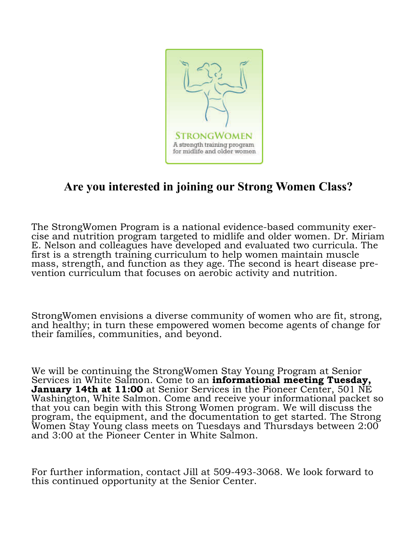

# **Are you interested in joining our Strong Women Class?**

The StrongWomen Program is a national evidence-based community exercise and nutrition program targeted to midlife and older women. Dr. Miriam E. Nelson and colleagues have developed and evaluated two curricula. The first is a strength training curriculum to help women maintain muscle mass, strength, and function as they age. The second is heart disease prevention curriculum that focuses on aerobic activity and nutrition.

StrongWomen envisions a diverse community of women who are fit, strong, and healthy; in turn these empowered women become agents of change for their families, communities, and beyond.

We will be continuing the StrongWomen Stay Young Program at Senior Services in White Salmon. Come to an **informational meeting Tuesday, January 14th at 11:00** at Senior Services in the Pioneer Center, 501 NE Washington, White Salmon. Come and receive your informational packet so that you can begin with this Strong Women program. We will discuss the program, the equipment, and the documentation to get started. The Strong Women Stay Young class meets on Tuesdays and Thursdays between 2:00 and 3:00 at the Pioneer Center in White Salmon.

For further information, contact Jill at 509-493-3068. We look forward to this continued opportunity at the Senior Center.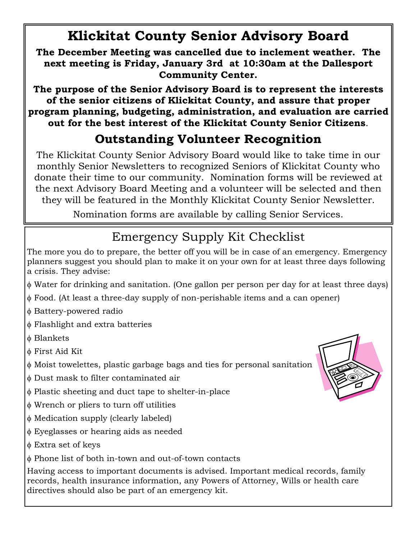# **Klickitat County Senior Advisory Board**

**The December Meeting was cancelled due to inclement weather. The next meeting is Friday, January 3rd at 10:30am at the Dallesport Community Center.** 

**The purpose of the Senior Advisory Board is to represent the interests of the senior citizens of Klickitat County, and assure that proper program planning, budgeting, administration, and evaluation are carried out for the best interest of the Klickitat County Senior Citizens**.

# **Outstanding Volunteer Recognition**

The Klickitat County Senior Advisory Board would like to take time in our monthly Senior Newsletters to recognized Seniors of Klickitat County who donate their time to our community. Nomination forms will be reviewed at the next Advisory Board Meeting and a volunteer will be selected and then they will be featured in the Monthly Klickitat County Senior Newsletter.

Nomination forms are available by calling Senior Services.

# Emergency Supply Kit Checklist

The more you do to prepare, the better off you will be in case of an emergency. Emergency planners suggest you should plan to make it on your own for at least three days following a crisis. They advise:

- φ Water for drinking and sanitation. (One gallon per person per day for at least three days)
- φ Food. (At least a three-day supply of non-perishable items and a can opener)
- φ Battery-powered radio
- φ Flashlight and extra batteries
- φ Blankets
- φ First Aid Kit
- φ Moist towelettes, plastic garbage bags and ties for personal sanitation
- φ Dust mask to filter contaminated air
- φ Plastic sheeting and duct tape to shelter-in-place
- φ Wrench or pliers to turn off utilities
- φ Medication supply (clearly labeled)
- φ Eyeglasses or hearing aids as needed
- φ Extra set of keys

φ Phone list of both in-town and out-of-town contacts

Having access to important documents is advised. Important medical records, family records, health insurance information, any Powers of Attorney, Wills or health care directives should also be part of an emergency kit.

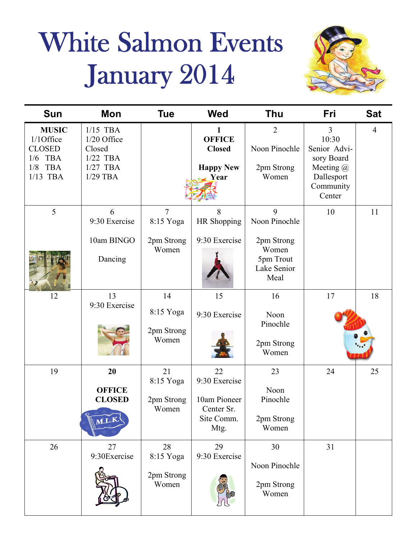# White Salmon Events January 2014



| <b>Sun</b>                                                                                         | Mon                                                                           | <b>Tue</b>                                         | <b>Wed</b>                                                              | Thu                                                                           | Fri                                                                                                         | <b>Sat</b>     |
|----------------------------------------------------------------------------------------------------|-------------------------------------------------------------------------------|----------------------------------------------------|-------------------------------------------------------------------------|-------------------------------------------------------------------------------|-------------------------------------------------------------------------------------------------------------|----------------|
| <b>MUSIC</b><br>1/1Office<br><b>CLOSED</b><br>1/6<br><b>TBA</b><br>1/8<br><b>TBA</b><br>$1/13$ TBA | $1/15$ TBA<br>1/20 Office<br>Closed<br>$1/22$ TBA<br>$1/27$ TBA<br>$1/29$ TBA |                                                    | 1<br><b>OFFICE</b><br><b>Closed</b><br><b>Happy New</b><br>Year         | $\overline{2}$<br>Noon Pinochle<br>2pm Strong<br>Women                        | $\overline{3}$<br>10:30<br>Senior Advi-<br>sory Board<br>Meeting $(a)$<br>Dallesport<br>Community<br>Center | $\overline{4}$ |
| 5                                                                                                  | 6<br>9:30 Exercise<br>10am BINGO<br>Dancing                                   | $\overline{7}$<br>8:15 Yoga<br>2pm Strong<br>Women | 8<br>HR Shopping<br>9:30 Exercise                                       | 9<br>Noon Pinochle<br>2pm Strong<br>Women<br>5pm Trout<br>Lake Senior<br>Meal | 10                                                                                                          | 11             |
| 12                                                                                                 | 13<br>9:30 Exercise                                                           | 14<br>8:15 Yoga<br>2pm Strong<br>Women             | 15<br>9:30 Exercise                                                     | 16<br>Noon<br>Pinochle<br>2pm Strong<br>Women                                 | 17                                                                                                          | 18             |
| 19                                                                                                 | 20<br><b>OFFICE</b><br><b>CLOSED</b><br>M.L.K.                                | 21<br>8:15 Yoga<br>2pm Strong<br>Women             | 22<br>9:30 Exercise<br>10am Pioneer<br>Center Sr.<br>Site Comm.<br>Mtg. | 23<br>Noon<br>Pinochle<br>2pm Strong<br>Women                                 | 24                                                                                                          | 25             |
| 26                                                                                                 | 27<br>9:30Exercise                                                            | 28<br>8:15 Yoga<br>2pm Strong<br>Women             | 29<br>9:30 Exercise                                                     | 30<br>Noon Pinochle<br>2pm Strong<br>Women                                    | 31                                                                                                          |                |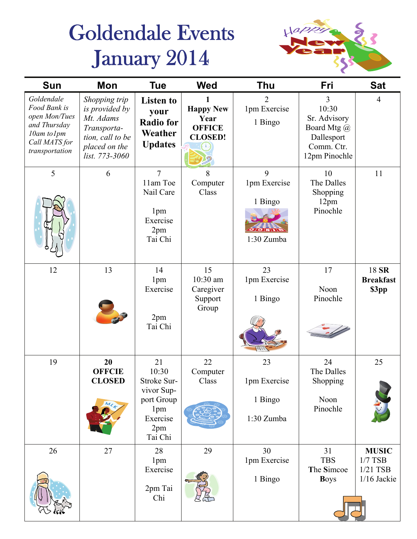# Goldendale Events January 2014



| <b>Sun</b>                                                                                                   | Mon                                                                                                                | <b>Tue</b>                                                                                  | <b>Wed</b>                                                  | <b>Thu</b>                                                     | Fri                                                                                    | <b>Sat</b>                                             |
|--------------------------------------------------------------------------------------------------------------|--------------------------------------------------------------------------------------------------------------------|---------------------------------------------------------------------------------------------|-------------------------------------------------------------|----------------------------------------------------------------|----------------------------------------------------------------------------------------|--------------------------------------------------------|
| Goldendale<br>Food Bank is<br>open Mon/Tues<br>and Thursday<br>10am to1pm<br>Call MATS for<br>transportation | Shopping trip<br>is provided by<br>Mt. Adams<br>Transporta-<br>tion, call to be<br>placed on the<br>list. 773-3060 | <b>Listen to</b><br>your<br><b>Radio for</b><br>Weather<br><b>Updates</b>                   | <b>Happy New</b><br>Year<br><b>OFFICE</b><br><b>CLOSED!</b> | 2<br>1pm Exercise<br>1 Bingo                                   | 3<br>10:30<br>Sr. Advisory<br>Board Mtg @<br>Dallesport<br>Comm. Ctr.<br>12pm Pinochle | $\overline{4}$                                         |
| 5                                                                                                            | 6                                                                                                                  | $\overline{7}$<br>11am Toe<br>Nail Care<br>1pm<br>Exercise<br>2pm<br>Tai Chi                | 8<br>Computer<br>Class                                      | 9<br>1pm Exercise<br>1 Bingo<br>$2/9$ N $\sigma$<br>1:30 Zumba | 10<br>The Dalles<br>Shopping<br>12pm<br>Pinochle                                       | 11                                                     |
| 12                                                                                                           | 13                                                                                                                 | 14<br>1pm<br>Exercise<br>2pm<br>Tai Chi                                                     | 15<br>10:30 am<br>Caregiver<br>Support<br>Group             | 23<br>1pm Exercise<br>1 Bingo                                  | 17<br>Noon<br>Pinochle                                                                 | 18 SR<br><b>Breakfast</b><br>\$3pp                     |
| 19                                                                                                           | 20<br><b>OFFCIE</b><br><b>CLOSED</b>                                                                               | 21<br>10:30<br>Stroke Sur-<br>vivor Sup-<br>port Group<br>1pm<br>Exercise<br>2pm<br>Tai Chi | 22<br>Computer<br>Class                                     | 23<br>1pm Exercise<br>1 Bingo<br>1:30 Zumba                    | 24<br>The Dalles<br>Shopping<br>Noon<br>Pinochle                                       | 25                                                     |
| 26                                                                                                           | 27                                                                                                                 | 28<br>1pm<br>Exercise<br>2pm Tai<br>Chi                                                     | 29                                                          | 30<br>1pm Exercise<br>1 Bingo                                  | 31<br><b>TBS</b><br>The Simcoe<br><b>Boys</b>                                          | <b>MUSIC</b><br>$1/7$ TSB<br>$1/21$ TSB<br>1/16 Jackie |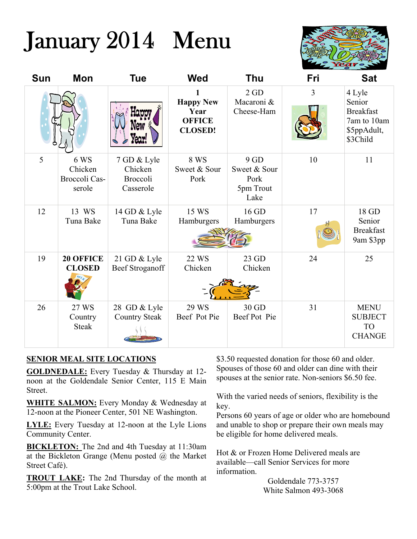# January 2014 Menu



| <b>Sun</b> | Mon                                        | <b>Tue</b>                                      | <b>Wed</b>                                                  | <b>Thu</b>                                       | Fri | <b>Sat</b>                                                                     |
|------------|--------------------------------------------|-------------------------------------------------|-------------------------------------------------------------|--------------------------------------------------|-----|--------------------------------------------------------------------------------|
|            |                                            |                                                 | <b>Happy New</b><br>Year<br><b>OFFICE</b><br><b>CLOSED!</b> | 2GD<br>Macaroni &<br>Cheese-Ham                  | 3   | 4 Lyle<br>Senior<br><b>Breakfast</b><br>7am to 10am<br>\$5ppAdult,<br>\$3Child |
| 5          | 6 WS<br>Chicken<br>Broccoli Cas-<br>serole | 7 GD & Lyle<br>Chicken<br>Broccoli<br>Casserole | 8 WS<br>Sweet & Sour<br>Pork                                | 9GD<br>Sweet & Sour<br>Pork<br>5pm Trout<br>Lake | 10  | 11                                                                             |
| 12         | 13 WS<br>Tuna Bake                         | 14 GD & Lyle<br>Tuna Bake                       | 15 WS<br>Hamburgers                                         | 16 GD<br>Hamburgers                              | 17  | 18 GD<br>Senior<br><b>Breakfast</b><br>9am \$3pp                               |
| 19         | <b>20 OFFICE</b><br><b>CLOSED</b>          | 21 GD & Lyle<br><b>Beef Stroganoff</b>          | 22 WS<br>Chicken                                            | 23 GD<br>Chicken                                 | 24  | 25                                                                             |
| 26         | 27 WS<br>Country<br><b>Steak</b>           | 28 GD & Lyle<br><b>Country Steak</b>            | 29 WS<br>Beef Pot Pie                                       | 30 GD<br>Beef Pot Pie                            | 31  | <b>MENU</b><br><b>SUBJECT</b><br><b>TO</b><br><b>CHANGE</b>                    |

#### **SENIOR MEAL SITE LOCATIONS**

**GOLDNEDALE:** Every Tuesday & Thursday at 12 noon at the Goldendale Senior Center, 115 E Main Street.

**WHITE SALMON:** Every Monday & Wednesday at 12-noon at the Pioneer Center, 501 NE Washington.

**LYLE:** Every Tuesday at 12-noon at the Lyle Lions Community Center.

**BICKLETON:** The 2nd and 4th Tuesday at 11:30am at the Bickleton Grange (Menu posted  $(a)$  the Market Street Café).

**TROUT LAKE:** The 2nd Thursday of the month at 5:00pm at the Trout Lake School.

\$3.50 requested donation for those 60 and older. Spouses of those 60 and older can dine with their spouses at the senior rate. Non-seniors \$6.50 fee.

With the varied needs of seniors, flexibility is the key.

Persons 60 years of age or older who are homebound and unable to shop or prepare their own meals may be eligible for home delivered meals.

Hot & or Frozen Home Delivered meals are available—call Senior Services for more information.

> Goldendale 773-3757 White Salmon 493-3068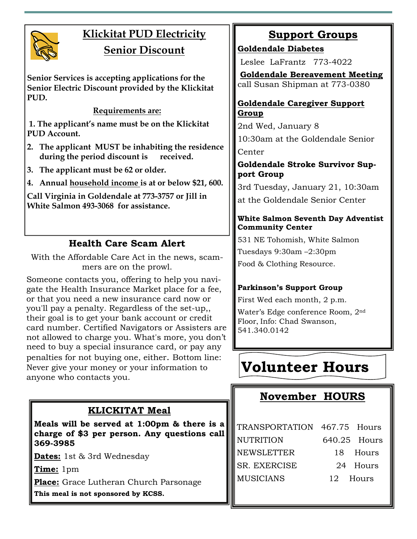

# **Klickitat PUD Electricity Senior Discount**

**Senior Services is accepting applications for the Senior Electric Discount provided by the Klickitat PUD.** 

**Requirements are:**

 **1. The applicant's name must be on the Klickitat PUD Account.** 

- **2. The applicant MUST be inhabiting the residence during the period discount is received.**
- **3. The applicant must be 62 or older.**
- **4. Annual household income is at or below \$21, 600.**

**Call Virginia in Goldendale at 773-3757 or Jill in White Salmon 493-3068 for assistance.** 

### **Health Care Scam Alert**

With the Affordable Care Act in the news, scammers are on the prowl.

Someone contacts you, offering to help you navigate the Health Insurance Market place for a fee, or that you need a new insurance card now or you'll pay a penalty. Regardless of the set-up,, their goal is to get your bank account or credit card number. Certified Navigators or Assisters are not allowed to charge you. What's more, you don't need to buy a special insurance card, or pay any penalties for not buying one, either. Bottom line: Never give your money or your information to anyone who contacts you.

### **KLICKITAT Meal**

**Meals will be served at 1:00pm & there is a charge of \$3 per person. Any questions call 369-3985** 

**Dates:** 1st & 3rd Wednesday

**Time:** 1pm

**Place:** Grace Lutheran Church Parsonage **This meal is not sponsored by KCSS.** 

**Support Groups**

**Goldendale Diabetes** 

Leslee LaFrantz 773-4022

**Goldendale Bereavement Meeting** call Susan Shipman at 773-0380

#### **Goldendale Caregiver Support Group**

2nd Wed, January 8 10:30am at the Goldendale Senior Center

#### **Goldendale Stroke Survivor Support Group**

3rd Tuesday, January 21, 10:30am at the Goldendale Senior Center

#### **White Salmon Seventh Day Adventist Community Center**

531 NE Tohomish, White Salmon Tuesdays 9:30am –2:30pm Food & Clothing Resource.

#### **Parkinson's Support Group**

First Wed each month, 2 p.m. Water's Edge conference Room, 2nd Floor, Info: Chad Swanson, 541.340.0142

# **Volunteer Hours**

## **November HOURS**

| TRANSPORTATION 467.75 Hours |              |          |
|-----------------------------|--------------|----------|
| <b>NUTRITION</b>            | 640.25 Hours |          |
| <b>NEWSLETTER</b>           |              | 18 Hours |
| <b>SR. EXERCISE</b>         |              | 24 Hours |
| <b>MUSICIANS</b>            | 12 Hours     |          |
|                             |              |          |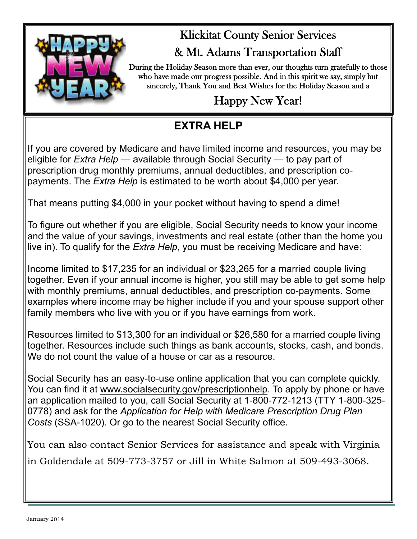

# Klickitat County Senior Services & Mt. Adams Transportation Staff

During the Holiday Season more than ever, our thoughts turn gratefully to those

who have made our progress possible. And in this spirit we say, simply but sincerely, Thank You and Best Wishes for the Holiday Season and a

# Happy New Year!

# **EXTRA HELP**

If you are covered by Medicare and have limited income and resources, you may be eligible for *Extra Help* — available through Social Security — to pay part of prescription drug monthly premiums, annual deductibles, and prescription copayments. The *Extra Help* is estimated to be worth about \$4,000 per year.

That means putting \$4,000 in your pocket without having to spend a dime!

To figure out whether if you are eligible, Social Security needs to know your income and the value of your savings, investments and real estate (other than the home you live in). To qualify for the *Extra Help*, you must be receiving Medicare and have:

Income limited to \$17,235 for an individual or \$23,265 for a married couple living together. Even if your annual income is higher, you still may be able to get some help with monthly premiums, annual deductibles, and prescription co-payments. Some examples where income may be higher include if you and your spouse support other family members who live with you or if you have earnings from work.

Resources limited to \$13,300 for an individual or \$26,580 for a married couple living together. Resources include such things as bank accounts, stocks, cash, and bonds. We do not count the value of a house or car as a resource.

Social Security has an easy-to-use online application that you can complete quickly. You can find it at [www.socialsecurity.gov/prescriptionhelp](http://www.socialsecurity.gov/prescriptionhelp). To apply by phone or have an application mailed to you, call Social Security at 1-800-772-1213 (TTY 1-800-325- 0778) and ask for the *Application for Help with Medicare Prescription Drug Plan Costs* (SSA-1020). Or go to the nearest Social Security office.

You can also contact Senior Services for assistance and speak with Virginia in Goldendale at 509-773-3757 or Jill in White Salmon at 509-493-3068.